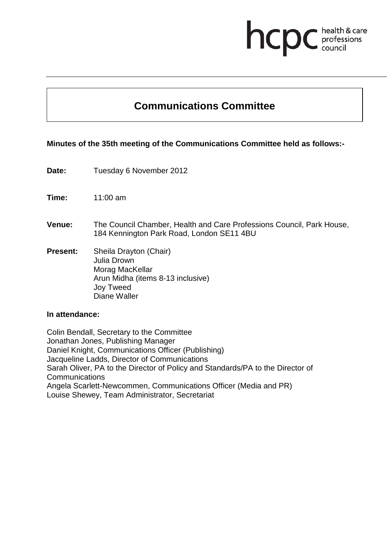# **health & care**

# **Communications Committee**

## **Minutes of the 35th meeting of the Communications Committee held as follows:-**

| Date:           | Tuesday 6 November 2012                                                                                                    |
|-----------------|----------------------------------------------------------------------------------------------------------------------------|
| Time:           | $11:00$ am                                                                                                                 |
| <b>Venue:</b>   | The Council Chamber, Health and Care Professions Council, Park House,<br>184 Kennington Park Road, London SE11 4BU         |
| <b>Present:</b> | Sheila Drayton (Chair)<br>Julia Drown<br>Morag MacKellar<br>Arun Midha (items 8-13 inclusive)<br>Joy Tweed<br>Diane Waller |

#### **In attendance:**

Colin Bendall, Secretary to the Committee Jonathan Jones, Publishing Manager Daniel Knight, Communications Officer (Publishing) Jacqueline Ladds, Director of Communications Sarah Oliver, PA to the Director of Policy and Standards/PA to the Director of **Communications** Angela Scarlett-Newcommen, Communications Officer (Media and PR) Louise Shewey, Team Administrator, Secretariat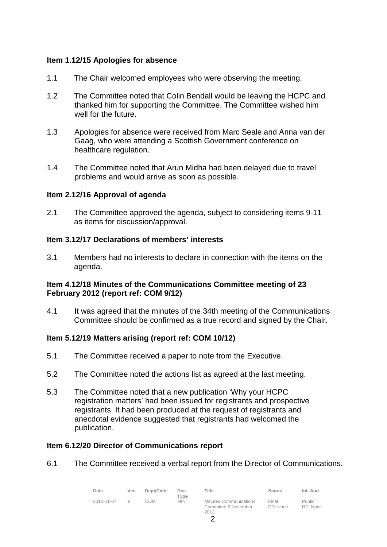## **Item 1.12/15 Apologies for absence**

- 1.1 The Chair welcomed employees who were observing the meeting.
- 1.2 The Committee noted that Colin Bendall would be leaving the HCPC and thanked him for supporting the Committee. The Committee wished him well for the future.
- 1.3 Apologies for absence were received from Marc Seale and Anna van der Gaag, who were attending a Scottish Government conference on healthcare regulation.
- 1.4 The Committee noted that Arun Midha had been delayed due to travel problems and would arrive as soon as possible.

#### **Item 2.12/16 Approval of agenda**

2.1 The Committee approved the agenda, subject to considering items 9-11 as items for discussion/approval.

#### **Item 3.12/17 Declarations of members' interests**

3.1 Members had no interests to declare in connection with the items on the agenda.

#### **Item 4.12/18 Minutes of the Communications Committee meeting of 23 February 2012 (report ref: COM 9/12)**

4.1 It was agreed that the minutes of the 34th meeting of the Communications Committee should be confirmed as a true record and signed by the Chair.

#### **Item 5.12/19 Matters arising (report ref: COM 10/12)**

- 5.1 The Committee received a paper to note from the Executive.
- 5.2 The Committee noted the actions list as agreed at the last meeting.
- 5.3 The Committee noted that a new publication 'Why your HCPC registration matters' had been issued for registrants and prospective registrants. It had been produced at the request of registrants and anecdotal evidence suggested that registrants had welcomed the publication.

#### **Item 6.12/20 Director of Communications report**

6.1 The Committee received a verbal report from the Director of Communications.

| Date       | Ver.          | Dept/Cmte | Doc<br>$T$ vpe | Title                                                         | <b>Status</b>     | Int. Aud.                 |
|------------|---------------|-----------|----------------|---------------------------------------------------------------|-------------------|---------------------------|
| 2012-11-07 | $\mathcal{A}$ | СОМ       | <b>MIN</b>     | <b>Minutes Communications</b><br>Committee 6 November<br>2012 | Final<br>DD: None | <b>Public</b><br>RD: None |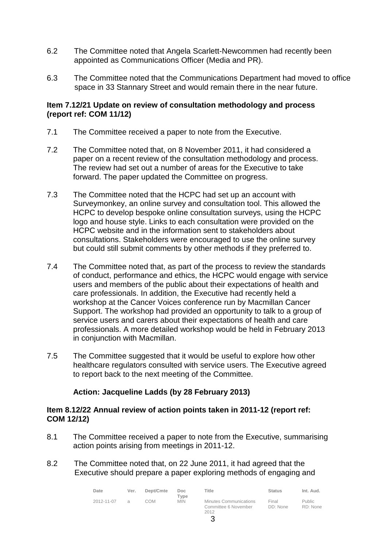- 6.2 The Committee noted that Angela Scarlett-Newcommen had recently been appointed as Communications Officer (Media and PR).
- 6.3 The Committee noted that the Communications Department had moved to office space in 33 Stannary Street and would remain there in the near future.

#### **Item 7.12/21 Update on review of consultation methodology and process (report ref: COM 11/12)**

- 7.1 The Committee received a paper to note from the Executive.
- 7.2 The Committee noted that, on 8 November 2011, it had considered a paper on a recent review of the consultation methodology and process. The review had set out a number of areas for the Executive to take forward. The paper updated the Committee on progress.
- 7.3 The Committee noted that the HCPC had set up an account with Surveymonkey, an online survey and consultation tool. This allowed the HCPC to develop bespoke online consultation surveys, using the HCPC logo and house style. Links to each consultation were provided on the HCPC website and in the information sent to stakeholders about consultations. Stakeholders were encouraged to use the online survey but could still submit comments by other methods if they preferred to.
- 7.4 The Committee noted that, as part of the process to review the standards of conduct, performance and ethics, the HCPC would engage with service users and members of the public about their expectations of health and care professionals. In addition, the Executive had recently held a workshop at the Cancer Voices conference run by Macmillan Cancer Support. The workshop had provided an opportunity to talk to a group of service users and carers about their expectations of health and care professionals. A more detailed workshop would be held in February 2013 in conjunction with Macmillan.
- 7.5 The Committee suggested that it would be useful to explore how other healthcare regulators consulted with service users. The Executive agreed to report back to the next meeting of the Committee.

#### **Action: Jacqueline Ladds (by 28 February 2013)**

#### **Item 8.12/22 Annual review of action points taken in 2011-12 (report ref: COM 12/12)**

- 8.1 The Committee received a paper to note from the Executive, summarising action points arising from meetings in 2011-12.
- 8.2 The Committee noted that, on 22 June 2011, it had agreed that the Executive should prepare a paper exploring methods of engaging and

| Date       | Ver.           | Dept/Cmte | Doc.<br>Tvpe | Title                                                         | <b>Status</b>     | Int. Aud.          |
|------------|----------------|-----------|--------------|---------------------------------------------------------------|-------------------|--------------------|
| 2012-11-07 | $\overline{a}$ | COM       | <b>MIN</b>   | <b>Minutes Communications</b><br>Committee 6 November<br>2012 | Final<br>DD: None | Public<br>RD: None |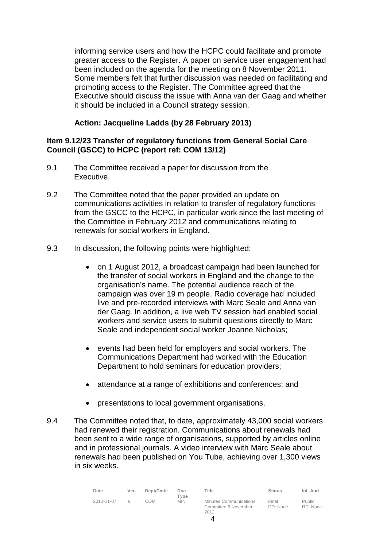informing service users and how the HCPC could facilitate and promote greater access to the Register. A paper on service user engagement had been included on the agenda for the meeting on 8 November 2011. Some members felt that further discussion was needed on facilitating and promoting access to the Register. The Committee agreed that the Executive should discuss the issue with Anna van der Gaag and whether it should be included in a Council strategy session.

# **Action: Jacqueline Ladds (by 28 February 2013)**

### **Item 9.12/23 Transfer of regulatory functions from General Social Care Council (GSCC) to HCPC (report ref: COM 13/12)**

- 9.1 The Committee received a paper for discussion from the Executive.
- 9.2 The Committee noted that the paper provided an update on communications activities in relation to transfer of regulatory functions from the GSCC to the HCPC, in particular work since the last meeting of the Committee in February 2012 and communications relating to renewals for social workers in England.
- 9.3 In discussion, the following points were highlighted:
	- on 1 August 2012, a broadcast campaign had been launched for the transfer of social workers in England and the change to the organisation's name. The potential audience reach of the campaign was over 19 m people. Radio coverage had included live and pre-recorded interviews with Marc Seale and Anna van der Gaag. In addition, a live web TV session had enabled social workers and service users to submit questions directly to Marc Seale and independent social worker Joanne Nicholas;
	- events had been held for employers and social workers. The Communications Department had worked with the Education Department to hold seminars for education providers;
	- attendance at a range of exhibitions and conferences; and
	- presentations to local government organisations.
- 9.4 The Committee noted that, to date, approximately 43,000 social workers had renewed their registration. Communications about renewals had been sent to a wide range of organisations, supported by articles online and in professional journals. A video interview with Marc Seale about renewals had been published on You Tube, achieving over 1,300 views in six weeks.

| Date       | Ver.          | Dept/Cmte | Doc.<br>Tvpe | Title                                                         | <b>Status</b>     | Int. Aud.                 |
|------------|---------------|-----------|--------------|---------------------------------------------------------------|-------------------|---------------------------|
| 2012-11-07 | $\mathcal{A}$ | COM       | <b>MIN</b>   | <b>Minutes Communications</b><br>Committee 6 November<br>2012 | Final<br>DD: None | <b>Public</b><br>RD: None |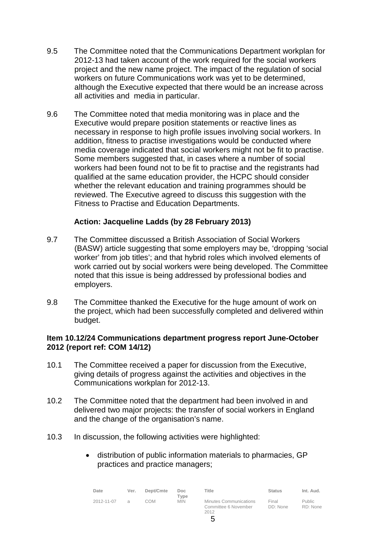- 9.5 The Committee noted that the Communications Department workplan for 2012-13 had taken account of the work required for the social workers project and the new name project. The impact of the regulation of social workers on future Communications work was yet to be determined, although the Executive expected that there would be an increase across all activities and media in particular.
- 9.6 The Committee noted that media monitoring was in place and the Executive would prepare position statements or reactive lines as necessary in response to high profile issues involving social workers. In addition, fitness to practise investigations would be conducted where media coverage indicated that social workers might not be fit to practise. Some members suggested that, in cases where a number of social workers had been found not to be fit to practise and the registrants had qualified at the same education provider, the HCPC should consider whether the relevant education and training programmes should be reviewed. The Executive agreed to discuss this suggestion with the Fitness to Practise and Education Departments.

#### **Action: Jacqueline Ladds (by 28 February 2013)**

- 9.7 The Committee discussed a British Association of Social Workers (BASW) article suggesting that some employers may be, 'dropping 'social worker' from job titles'; and that hybrid roles which involved elements of work carried out by social workers were being developed. The Committee noted that this issue is being addressed by professional bodies and employers.
- 9.8 The Committee thanked the Executive for the huge amount of work on the project, which had been successfully completed and delivered within budget.

#### **Item 10.12/24 Communications department progress report June-October 2012 (report ref: COM 14/12)**

- 10.1 The Committee received a paper for discussion from the Executive, giving details of progress against the activities and objectives in the Communications workplan for 2012-13.
- 10.2 The Committee noted that the department had been involved in and delivered two major projects: the transfer of social workers in England and the change of the organisation's name.
- 10.3 In discussion, the following activities were highlighted:
	- distribution of public information materials to pharmacies, GP practices and practice managers;

| Date       | Ver. | Dept/Cmte | Doc.<br>Type | Title                                                         | <b>Status</b>     | Int. Aud.          |
|------------|------|-----------|--------------|---------------------------------------------------------------|-------------------|--------------------|
| 2012-11-07 |      | COM       | <b>MIN</b>   | <b>Minutes Communications</b><br>Committee 6 November<br>2012 | Final<br>DD: None | Public<br>RD: None |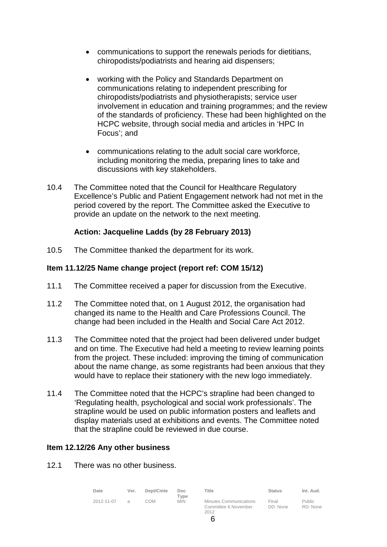- communications to support the renewals periods for dietitians, chiropodists/podiatrists and hearing aid dispensers;
- working with the Policy and Standards Department on communications relating to independent prescribing for chiropodists/podiatrists and physiotherapists; service user involvement in education and training programmes; and the review of the standards of proficiency. These had been highlighted on the HCPC website, through social media and articles in 'HPC In Focus'; and
- communications relating to the adult social care workforce, including monitoring the media, preparing lines to take and discussions with key stakeholders.
- 10.4 The Committee noted that the Council for Healthcare Regulatory Excellence's Public and Patient Engagement network had not met in the period covered by the report. The Committee asked the Executive to provide an update on the network to the next meeting.

#### **Action: Jacqueline Ladds (by 28 February 2013)**

10.5 The Committee thanked the department for its work.

#### **Item 11.12/25 Name change project (report ref: COM 15/12)**

- 11.1 The Committee received a paper for discussion from the Executive.
- 11.2 The Committee noted that, on 1 August 2012, the organisation had changed its name to the Health and Care Professions Council. The change had been included in the Health and Social Care Act 2012.
- 11.3 The Committee noted that the project had been delivered under budget and on time. The Executive had held a meeting to review learning points from the project. These included: improving the timing of communication about the name change, as some registrants had been anxious that they would have to replace their stationery with the new logo immediately.
- 11.4 The Committee noted that the HCPC's strapline had been changed to 'Regulating health, psychological and social work professionals'. The strapline would be used on public information posters and leaflets and display materials used at exhibitions and events. The Committee noted that the strapline could be reviewed in due course.

#### **Item 12.12/26 Any other business**

12.1 There was no other business.

| Date       | Ver.          | Dept/Cmte | Doc.<br>Type | Title                                                  | <b>Status</b>     | Int. Aud.                 |
|------------|---------------|-----------|--------------|--------------------------------------------------------|-------------------|---------------------------|
| 2012-11-07 | $\mathcal{A}$ | COM       | <b>MIN</b>   | Minutes Communications<br>Committee 6 November<br>2012 | Final<br>DD: None | <b>Public</b><br>RD: None |